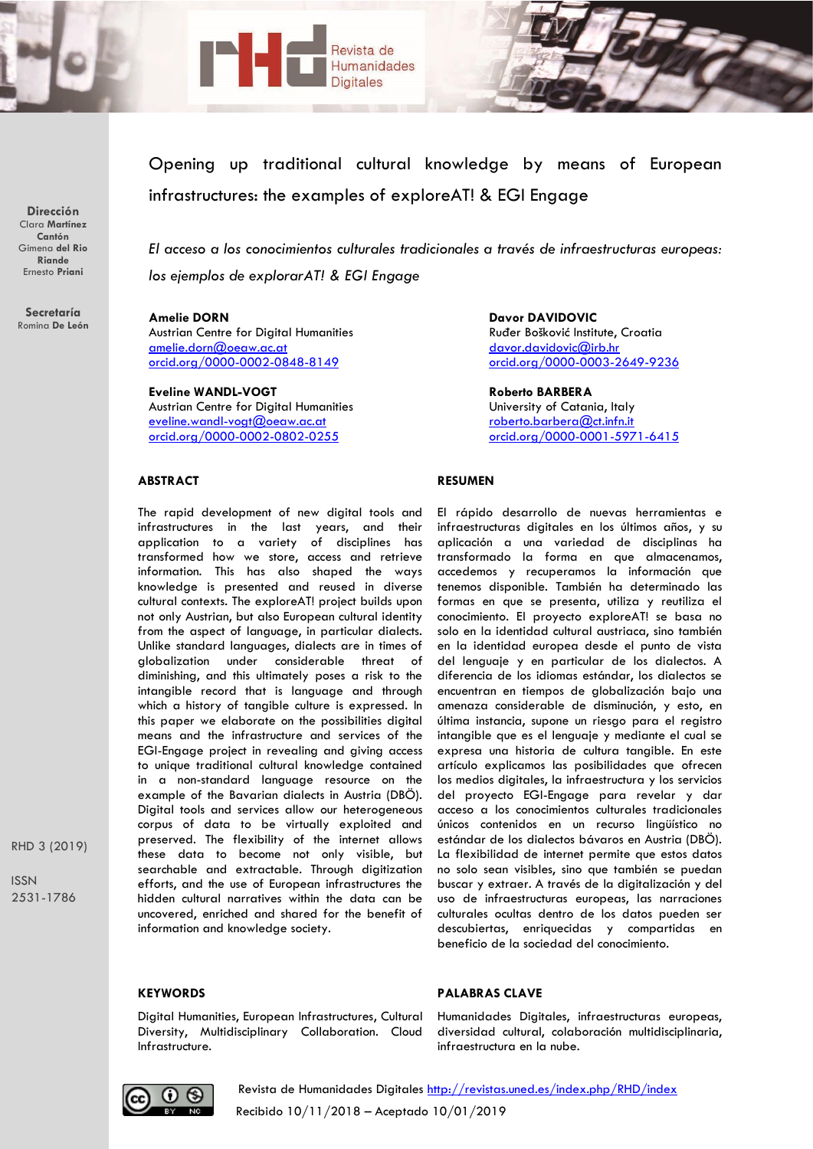

**Dirección** Clara **Martínez Cantón** Gimena **del Rio Riande** Ernesto **Priani**

**Secretaría** Romina **De León**



Opening up traditional cultural knowledge by means of European infrastructures: the examples of exploreAT! & EGI Engage

*El acceso a los conocimientos culturales tradicionales a través de infraestructuras europeas: los ejemplos de explorarAT! & EGI Engage*

#### **Amelie DORN**

Austrian Centre for Digital Humanities amelie.dorn@oeaw.ac.at <orcid.org/0000-0002-0848-8149>

**Eveline WANDL-VOGT** Austrian Centre for Digital Humanities [eveline.wandl-vogt@oeaw.ac.at](mailto:eveline.wandl-vogt@oeaw.ac.at) <orcid.org/0000-0002-0802-0255>

### **ABSTRACT**

The rapid development of new digital tools and infrastructures in the last years, and their application to a variety of disciplines has transformed how we store, access and retrieve information. This has also shaped the ways knowledge is presented and reused in diverse cultural contexts. The exploreAT! project builds upon not only Austrian, but also European cultural identity from the aspect of language, in particular dialects. Unlike standard languages, dialects are in times of globalization under considerable threat of diminishing, and this ultimately poses a risk to the intangible record that is language and through which a history of tangible culture is expressed. In this paper we elaborate on the possibilities digital means and the infrastructure and services of the EGI-Engage project in revealing and giving access to unique traditional cultural knowledge contained in a non-standard language resource on the example of the Bavarian dialects in Austria (DBÖ). Digital tools and services allow our heterogeneous corpus of data to be virtually exploited and preserved. The flexibility of the internet allows these data to become not only visible, but searchable and extractable. Through digitization efforts, and the use of European infrastructures the hidden cultural narratives within the data can be uncovered, enriched and shared for the benefit of information and knowledge society.

**Davor DAVIDOVIC** Ruđer Bošković Institute, Croatia [davor.davidovic@irb.hr](mailto:davor.davidovic@irb.hr) <orcid.org/0000-0003-2649-9236>

**Roberto BARBERA** University of Catania, Italy [roberto.barbera@ct.infn.it](mailto:roberto.barbera@ct.infn.it) <orcid.org/0000-0001-5971-6415>

### **RESUMEN**

El rápido desarrollo de nuevas herramientas e infraestructuras digitales en los últimos años, y su aplicación a una variedad de disciplinas ha transformado la forma en que almacenamos, accedemos y recuperamos la información que tenemos disponible. También ha determinado las formas en que se presenta, utiliza y reutiliza el conocimiento. El proyecto exploreAT! se basa no solo en la identidad cultural austriaca, sino también en la identidad europea desde el punto de vista del lenguaje y en particular de los dialectos. A diferencia de los idiomas estándar, los dialectos se encuentran en tiempos de globalización bajo una amenaza considerable de disminución, y esto, en última instancia, supone un riesgo para el registro intangible que es el lenguaje y mediante el cual se expresa una historia de cultura tangible. En este artículo explicamos las posibilidades que ofrecen los medios digitales, la infraestructura y los servicios del proyecto EGI-Engage para revelar y dar acceso a los conocimientos culturales tradicionales únicos contenidos en un recurso lingüístico no estándar de los dialectos bávaros en Austria (DBÖ). La flexibilidad de internet permite que estos datos no solo sean visibles, sino que también se puedan buscar y extraer. A través de la digitalización y del uso de infraestructuras europeas, las narraciones culturales ocultas dentro de los datos pueden ser descubiertas, enriquecidas y compartidas en beneficio de la sociedad del conocimiento.

### **KEYWORDS**

Digital Humanities, European Infrastructures, Cultural Diversity, Multidisciplinary Collaboration. Cloud Infrastructure.

### **PALABRAS CLAVE**

Humanidades Digitales, infraestructuras europeas, diversidad cultural, colaboración multidisciplinaria, infraestructura en la nube.



Revista de Humanidades Digitales <http://revistas.uned.es/index.php/RHD/index> Recibido 10/11/2018 – Aceptado 10/01/2019

RHD 3 (2019)

ISSN 2531-1786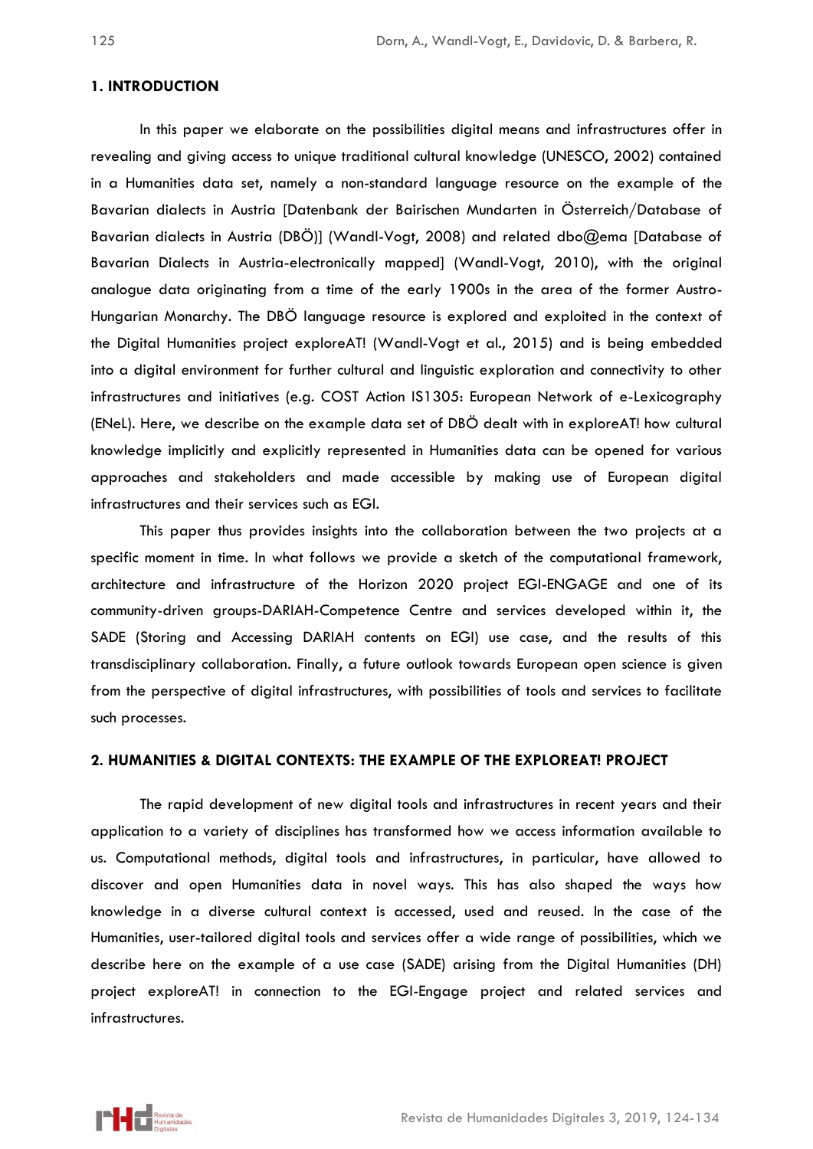## **1. INTRODUCTION**

In this paper we elaborate on the possibilities digital means and infrastructures offer in revealing and giving access to unique traditional cultural knowledge (UNESCO, 2002) contained in a Humanities data set, namely a non-standard language resource on the example of the Bavarian dialects in Austria [Datenbank der Bairischen Mundarten in Österreich/Database of Bavarian dialects in Austria (DBÖ)] (Wandl-Vogt, 2008) and related dbo@ema [Database of Bavarian Dialects in Austria-electronically mapped] (Wandl-Vogt, 2010), with the original analogue data originating from a time of the early 1900s in the area of the former Austro-Hungarian Monarchy. The DBÖ language resource is explored and exploited in the context of the Digital Humanities project exploreAT! (Wandl-Vogt et al., 2015) and is being embedded into a digital environment for further cultural and linguistic exploration and connectivity to other infrastructures and initiatives (e.g. COST Action IS1305: European Network of e-Lexicography (ENeL). Here, we describe on the example data set of DBÖ dealt with in exploreAT! how cultural knowledge implicitly and explicitly represented in Humanities data can be opened for various approaches and stakeholders and made accessible by making use of European digital infrastructures and their services such as EGI.

This paper thus provides insights into the collaboration between the two projects at a specific moment in time. In what follows we provide a sketch of the computational framework, architecture and infrastructure of the Horizon 2020 project EGI-ENGAGE and one of its community-driven groups-DARIAH-Competence Centre and services developed within it, the SADE (Storing and Accessing DARIAH contents on EGI) use case, and the results of this transdisciplinary collaboration. Finally, a future outlook towards European open science is given from the perspective of digital infrastructures, with possibilities of tools and services to facilitate such processes.

## **2. HUMANITIES & DIGITAL CONTEXTS: THE EXAMPLE OF THE EXPLOREAT! PROJECT**

The rapid development of new digital tools and infrastructures in recent years and their application to a variety of disciplines has transformed how we access information available to us. Computational methods, digital tools and infrastructures, in particular, have allowed to discover and open Humanities data in novel ways. This has also shaped the ways how knowledge in a diverse cultural context is accessed, used and reused. In the case of the Humanities, user-tailored digital tools and services offer a wide range of possibilities, which we describe here on the example of a use case (SADE) arising from the Digital Humanities (DH) project exploreAT! in connection to the EGI-Engage project and related services and infrastructures.

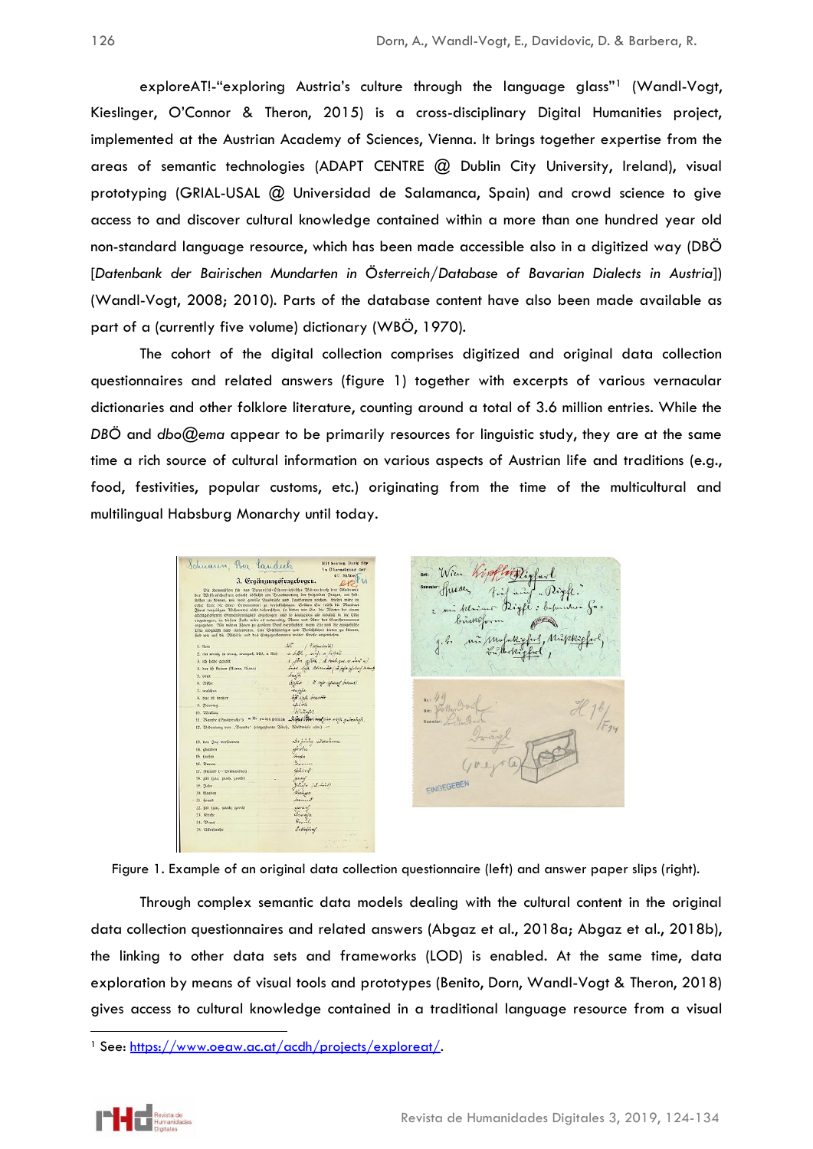exploreAT!-"exploring Austria's culture through the language glass"<sup>1</sup> (Wandl-Vogt, Kieslinger, O'Connor & Theron, 2015) is a cross-disciplinary Digital Humanities project, implemented at the Austrian Academy of Sciences, Vienna. It brings together expertise from the areas of semantic technologies (ADAPT CENTRE @ Dublin City University, Ireland), visual prototyping (GRIAL-USAL @ Universidad de Salamanca, Spain) and crowd science to give access to and discover cultural knowledge contained within a more than one hundred year old non-standard language resource, which has been made accessible also in a digitized way (DBÖ [*Datenbank der Bairischen Mundarten in Österreich/Database of Bavarian Dialects in Austria*]) (Wandl-Vogt, 2008; 2010). Parts of the database content have also been made available as part of a (currently five volume) dictionary (WBÖ, 1970).

The cohort of the digital collection comprises digitized and original data collection questionnaires and related answers (figure 1) together with excerpts of various vernacular dictionaries and other folklore literature, counting around a total of 3.6 million entries. While the *DBÖ* and *dbo@ema* appear to be primarily resources for linguistic study, they are at the same time a rich source of cultural information on various aspects of Austrian life and traditions (e.g., food, festivities, popular customs, etc.) originating from the time of the multicultural and multilingual Habsburg Monarchy until today.

Johnann, Ber. Landeck Wien Kingling 3. Ergänzungsfragebogen. klaims Rigfl : bufunction binkoform mi Magneright, Mispersofal in / it of copies 2 byle Spring below) reasighe<br>All stal Carterine  $3.322$  at  $\sigma$ rohe guay<br>Vilato 15 hole EINGEGEBEN C. Kelin

Figure 1. Example of an original data collection questionnaire (left) and answer paper slips (right).

Through complex semantic data models dealing with the cultural content in the original data collection questionnaires and related answers (Abgaz et al., 2018a; Abgaz et al., 2018b), the linking to other data sets and frameworks (LOD) is enabled. At the same time, data exploration by means of visual tools and prototypes (Benito, Dorn, Wandl-Vogt & Theron, 2018) gives access to cultural knowledge contained in a traditional language resource from a visual

<sup>1</sup> See: [https://www.oeaw.ac.at/acdh/projects/exploreat/.](https://www.oeaw.ac.at/acdh/projects/exploreat/)

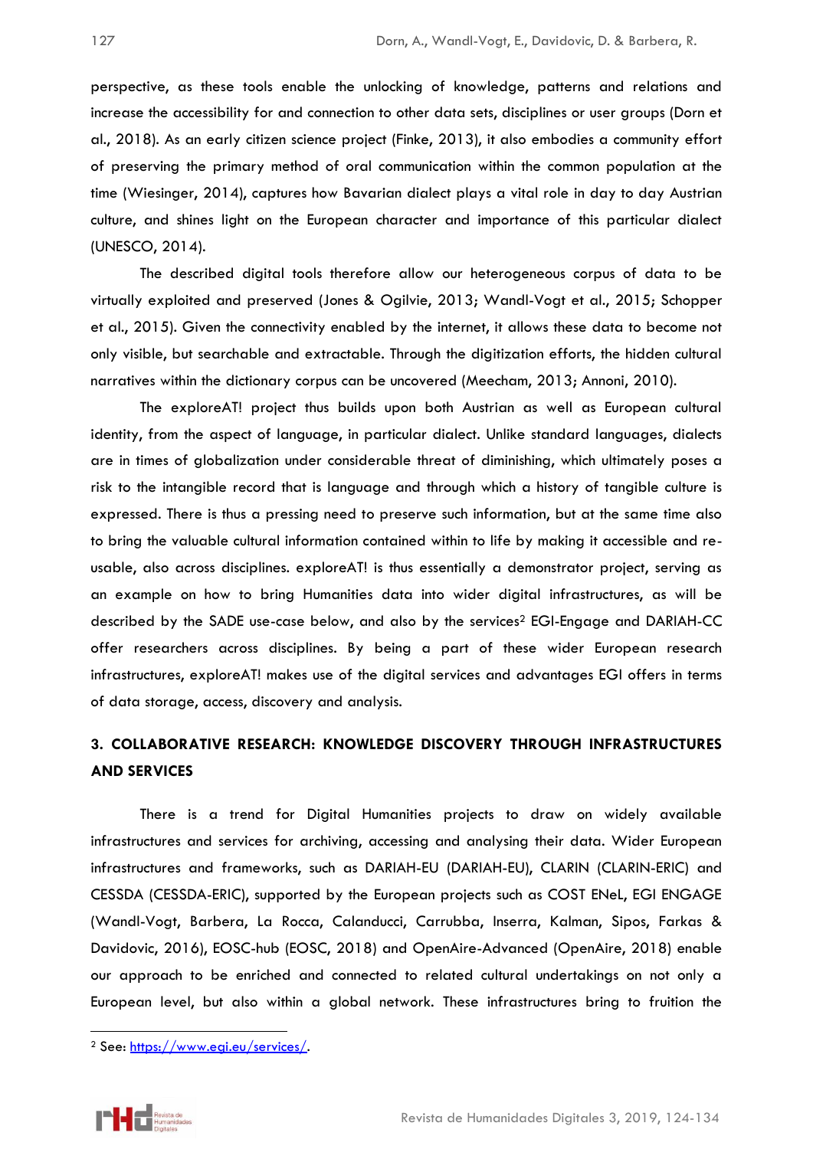perspective, as these tools enable the unlocking of knowledge, patterns and relations and increase the accessibility for and connection to other data sets, disciplines or user groups (Dorn et al., 2018). As an early citizen science project (Finke, 2013), it also embodies a community effort of preserving the primary method of oral communication within the common population at the time (Wiesinger, 2014), captures how Bavarian dialect plays a vital role in day to day Austrian culture, and shines light on the European character and importance of this particular dialect (UNESCO, 2014).

The described digital tools therefore allow our heterogeneous corpus of data to be virtually exploited and preserved (Jones & Ogilvie, 2013; Wandl-Vogt et al., 2015; Schopper et al., 2015). Given the connectivity enabled by the internet, it allows these data to become not only visible, but searchable and extractable. Through the digitization efforts, the hidden cultural narratives within the dictionary corpus can be uncovered (Meecham, 2013; Annoni, 2010).

The exploreAT! project thus builds upon both Austrian as well as European cultural identity, from the aspect of language, in particular dialect. Unlike standard languages, dialects are in times of globalization under considerable threat of diminishing, which ultimately poses a risk to the intangible record that is language and through which a history of tangible culture is expressed. There is thus a pressing need to preserve such information, but at the same time also to bring the valuable cultural information contained within to life by making it accessible and reusable, also across disciplines. exploreAT! is thus essentially a demonstrator project, serving as an example on how to bring Humanities data into wider digital infrastructures, as will be described by the SADE use-case below, and also by the services<sup>2</sup> EGI-Engage and DARIAH-CC offer researchers across disciplines. By being a part of these wider European research infrastructures, exploreAT! makes use of the digital services and advantages EGI offers in terms of data storage, access, discovery and analysis.

# **3. COLLABORATIVE RESEARCH: KNOWLEDGE DISCOVERY THROUGH INFRASTRUCTURES AND SERVICES**

There is a trend for Digital Humanities projects to draw on widely available infrastructures and services for archiving, accessing and analysing their data. Wider European infrastructures and frameworks, such as DARIAH-EU (DARIAH-EU), CLARIN (CLARIN-ERIC) and CESSDA (CESSDA-ERIC), supported by the European projects such as COST ENeL, EGI ENGAGE (Wandl-Vogt, Barbera, La Rocca, Calanducci, Carrubba, Inserra, Kalman, Sipos, Farkas & Davidovic, 2016), EOSC-hub (EOSC, 2018) and OpenAire-Advanced (OpenAire, 2018) enable our approach to be enriched and connected to related cultural undertakings on not only a European level, but also within a global network. These infrastructures bring to fruition the

<sup>2</sup> See: [https://www.egi.eu/services/.](https://www.egi.eu/services/)

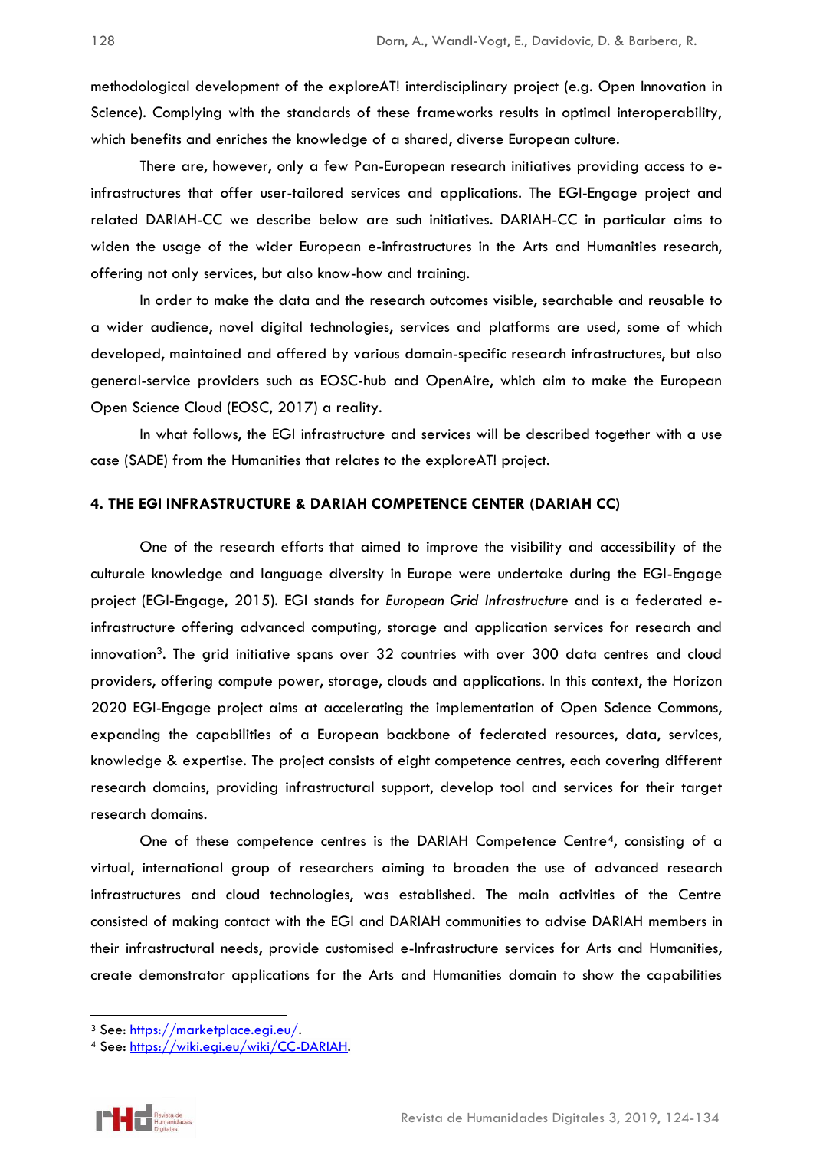methodological development of the exploreAT! interdisciplinary project (e.g. Open Innovation in Science). Complying with the standards of these frameworks results in optimal interoperability, which benefits and enriches the knowledge of a shared, diverse European culture.

There are, however, only a few Pan-European research initiatives providing access to einfrastructures that offer user-tailored services and applications. The EGI-Engage project and related DARIAH-CC we describe below are such initiatives. DARIAH-CC in particular aims to widen the usage of the wider European e-infrastructures in the Arts and Humanities research, offering not only services, but also know-how and training.

In order to make the data and the research outcomes visible, searchable and reusable to a wider audience, novel digital technologies, services and platforms are used, some of which developed, maintained and offered by various domain-specific research infrastructures, but also general-service providers such as EOSC-hub and OpenAire, which aim to make the European Open Science Cloud (EOSC, 2017) a reality.

In what follows, the EGI infrastructure and services will be described together with a use case (SADE) from the Humanities that relates to the exploreAT! project.

## **4. THE EGI INFRASTRUCTURE & DARIAH COMPETENCE CENTER (DARIAH CC)**

One of the research efforts that aimed to improve the visibility and accessibility of the culturale knowledge and language diversity in Europe were undertake during the EGI-Engage project (EGI-Engage, 2015). EGI stands for *European Grid Infrastructure* and is a federated einfrastructure offering advanced computing, storage and application services for research and innovation3. The grid initiative spans over 32 countries with over 300 data centres and cloud providers, offering compute power, storage, clouds and applications. In this context, the Horizon 2020 EGI-Engage project aims at accelerating the implementation of Open Science Commons, expanding the capabilities of a European backbone of federated resources, data, services, knowledge & expertise. The project consists of eight competence centres, each covering different research domains, providing infrastructural support, develop tool and services for their target research domains.

One of these competence centres is the DARIAH Competence Centre4, consisting of a virtual, international group of researchers aiming to broaden the use of advanced research infrastructures and cloud technologies, was established. The main activities of the Centre consisted of making contact with the EGI and DARIAH communities to advise DARIAH members in their infrastructural needs, provide customised e-Infrastructure services for Arts and Humanities, create demonstrator applications for the Arts and Humanities domain to show the capabilities

<sup>4</sup> See: [https://wiki.egi.eu/wiki/CC-DARIAH.](https://wiki.egi.eu/wiki/CC-DARIAH)



<sup>&</sup>lt;sup>3</sup> See: [https://marketplace.egi.eu/.](https://marketplace.egi.eu/)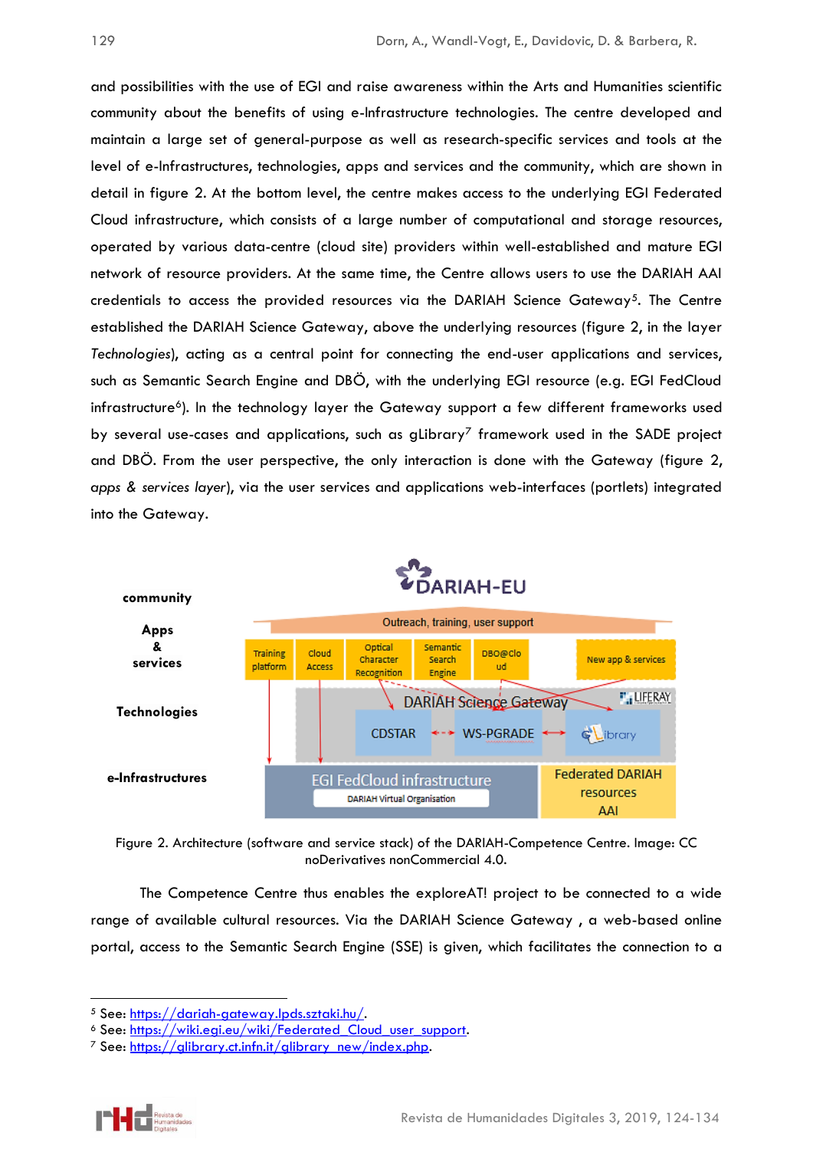and possibilities with the use of EGI and raise awareness within the Arts and Humanities scientific community about the benefits of using e-Infrastructure technologies. The centre developed and maintain a large set of general-purpose as well as research-specific services and tools at the level of e-Infrastructures, technologies, apps and services and the community, which are shown in detail in figure 2. At the bottom level, the centre makes access to the underlying EGI Federated Cloud infrastructure, which consists of a large number of computational and storage resources, operated by various data-centre (cloud site) providers within well-established and mature EGI network of resource providers. At the same time, the Centre allows users to use the DARIAH AAI credentials to access the provided resources via the DARIAH Science Gateway5. The Centre established the DARIAH Science Gateway, above the underlying resources (figure 2, in the layer *Technologies*), acting as a central point for connecting the end-user applications and services, such as Semantic Search Engine and DBÖ, with the underlying EGI resource (e.g. EGI FedCloud infrastructure<sup>6</sup>). In the technology layer the Gateway support a few different frameworks used by several use-cases and applications, such as glibrary<sup>7</sup> framework used in the SADE project and DBÖ. From the user perspective, the only interaction is done with the Gateway (figure 2, *apps & services layer*), via the user services and applications web-interfaces (portlets) integrated into the Gateway.



Figure 2. Architecture (software and service stack) of the DARIAH-Competence Centre. Image: CC noDerivatives nonCommercial 4.0.

The Competence Centre thus enables the exploreAT! project to be connected to a wide range of available cultural resources. Via the DARIAH Science Gateway , a web-based online portal, access to the Semantic Search Engine (SSE) is given, which facilitates the connection to a

<sup>&</sup>lt;sup>7</sup> See: [https://glibrary.ct.infn.it/glibrary\\_new/index.php.](https://glibrary.ct.infn.it/glibrary_new/index.php)



<sup>5</sup> See: [https://dariah-gateway.lpds.sztaki.hu/.](https://dariah-gateway.lpds.sztaki.hu/)

<sup>&</sup>lt;sup>6</sup> See: [https://wiki.egi.eu/wiki/Federated\\_Cloud\\_user\\_support.](https://wiki.egi.eu/wiki/Federated_Cloud_user_support)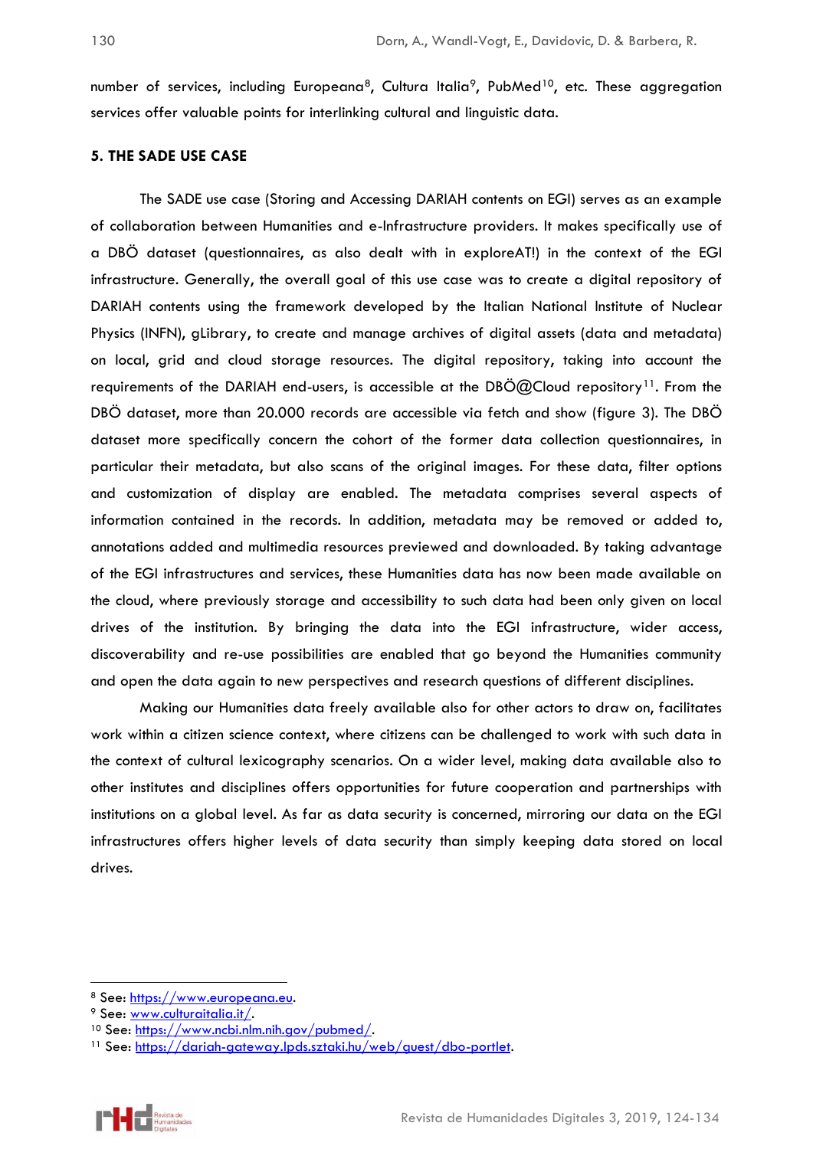number of services, including Europeana<sup>8</sup>, Cultura Italia<sup>9</sup>, PubMed<sup>10</sup>, etc. These aggregation services offer valuable points for interlinking cultural and linguistic data.

## **5. THE SADE USE CASE**

The SADE use case (Storing and Accessing DARIAH contents on EGI) serves as an example of collaboration between Humanities and e-Infrastructure providers. It makes specifically use of a DBÖ dataset (questionnaires, as also dealt with in exploreAT!) in the context of the EGI infrastructure. Generally, the overall goal of this use case was to create a digital repository of DARIAH contents using the framework developed by the Italian National Institute of Nuclear Physics (INFN), gLibrary, to create and manage archives of digital assets (data and metadata) on local, grid and cloud storage resources. The digital repository, taking into account the requirements of the DARIAH end-users, is accessible at the DBÖ@Cloud repository<sup>11</sup>. From the DBÖ dataset, more than 20.000 records are accessible via fetch and show (figure 3). The DBÖ dataset more specifically concern the cohort of the former data collection questionnaires, in particular their metadata, but also scans of the original images. For these data, filter options and customization of display are enabled. The metadata comprises several aspects of information contained in the records. In addition, metadata may be removed or added to, annotations added and multimedia resources previewed and downloaded. By taking advantage of the EGI infrastructures and services, these Humanities data has now been made available on the cloud, where previously storage and accessibility to such data had been only given on local drives of the institution. By bringing the data into the EGI infrastructure, wider access, discoverability and re-use possibilities are enabled that go beyond the Humanities community and open the data again to new perspectives and research questions of different disciplines.

Making our Humanities data freely available also for other actors to draw on, facilitates work within a citizen science context, where citizens can be challenged to work with such data in the context of cultural lexicography scenarios. On a wider level, making data available also to other institutes and disciplines offers opportunities for future cooperation and partnerships with institutions on a global level. As far as data security is concerned, mirroring our data on the EGI infrastructures offers higher levels of data security than simply keeping data stored on local drives.

<sup>&</sup>lt;sup>11</sup> See: [https://dariah-gateway.lpds.sztaki.hu/web/guest/dbo-portlet.](https://dariah-gateway.lpds.sztaki.hu/web/guest/dbo-portlet)



<sup>8</sup> See: [https://www.europeana.eu.](https://www.europeana.eu/)

<sup>9</sup> See: [www.culturaitalia.it/.](http://www.culturaitalia.it/)

<sup>10</sup> See: [https://www.ncbi.nlm.nih.gov/pubmed/.](https://www.ncbi.nlm.nih.gov/pubmed/)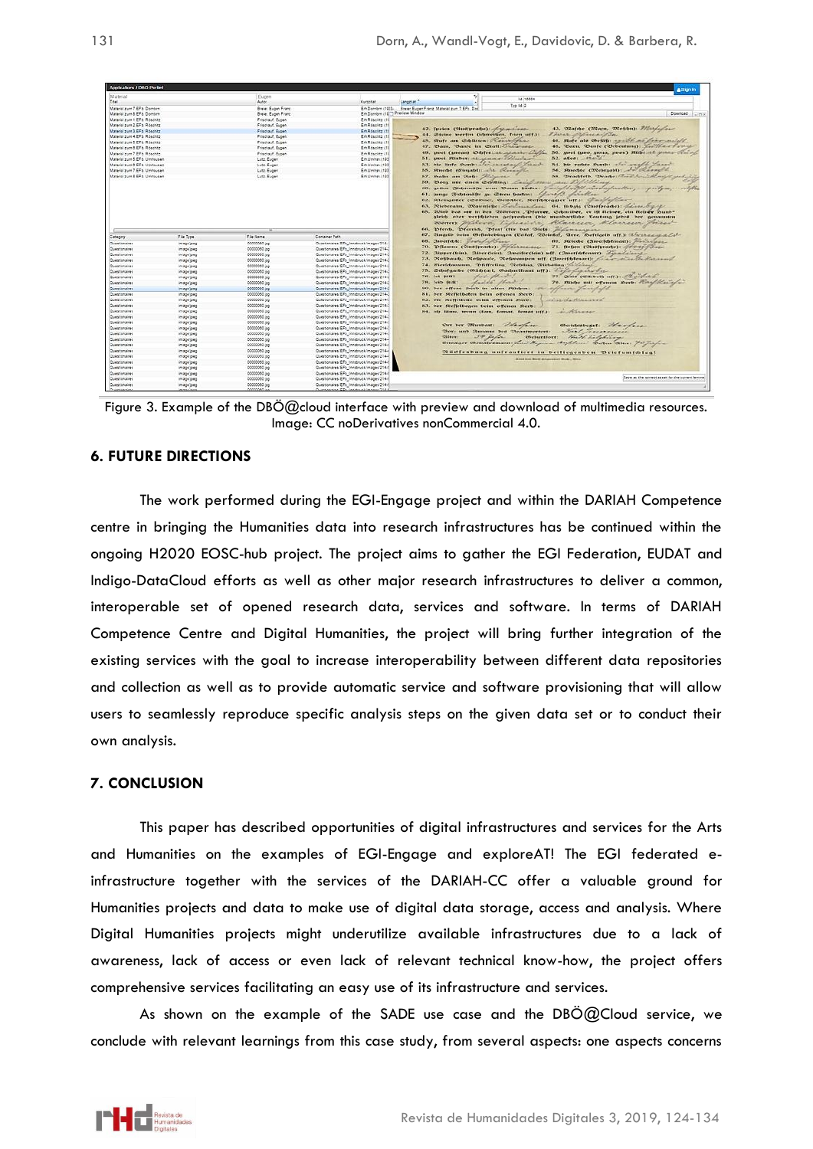| Applications / DBO Portiet                   |             |                     |                                                         |                                                                                                                                                                                                                                                                                                                                            |                                                                                           | <b>ASON</b>              |
|----------------------------------------------|-------------|---------------------|---------------------------------------------------------|--------------------------------------------------------------------------------------------------------------------------------------------------------------------------------------------------------------------------------------------------------------------------------------------------------------------------------------------|-------------------------------------------------------------------------------------------|--------------------------|
| Material                                     |             | Eugen               |                                                         |                                                                                                                                                                                                                                                                                                                                            | 14:16004                                                                                  |                          |
| Tout                                         |             | Autor.              | Kurzzitat                                               | Lange tab                                                                                                                                                                                                                                                                                                                                  | Two 14:2                                                                                  |                          |
| Material guns 7.EPs. Dombin                  |             | Breier, Eugen Franz |                                                         | Ern Dombirn (1933. Brews, Eugen Franz, Material zum 7. EPb. Doll.                                                                                                                                                                                                                                                                          |                                                                                           |                          |
| Material gum & EFb. Dombire                  |             | Breier, Eugen Franz | En Dombin (1877) Preview Window                         |                                                                                                                                                                                                                                                                                                                                            |                                                                                           | Download<br>$1 - 173.90$ |
| Material gum 1 EFs. Roschitz                 |             | Frischauf, Eugen    | Em Roschitz (ttl)                                       |                                                                                                                                                                                                                                                                                                                                            |                                                                                           |                          |
| Material pure 2 EFS. Roschitz                |             | Frischauf, Eugen    | Em Röschitz (tt)                                        | 42. fecien (Qludjerade): Antonione-                                                                                                                                                                                                                                                                                                        | 43. Majde (Mayn, Mejdun): Marketer                                                        |                          |
| Material zum 3.EFt. Röschitz                 |             | Frischauf, Eugen    | Em Roschitz (11)                                        |                                                                                                                                                                                                                                                                                                                                            |                                                                                           |                          |
| Material zum 4 EFb. Röschitz                 |             | Frischauf, Eugen    | Em Roschitz (11)                                        | 44. Citcine werten (fibmeitien, feien uff.):                                                                                                                                                                                                                                                                                               | There presented                                                                           |                          |
| Material pum 6.EFb. Roschitz                 |             | Frachauf, Eugen     | Em Roschitz (1)                                         | 45. Stufe am cheblisten: Cannofan-                                                                                                                                                                                                                                                                                                         | 16. State als thefall applet as four suite                                                |                          |
| Material zum 6 EFb. Röschtz                  |             | Frischauf, Eugen    | Em Roschitz (II)                                        | 48. Darn, Danfe (Debeutung) Lee Handsong.<br>47. Ziarn, Zianfe im Gtall: Cheatener.                                                                                                                                                                                                                                                        |                                                                                           |                          |
| Material zum 7.EFb. Röschitz                 |             | Frischauf, Eugen    | Ern Roschitz (11)                                       | 49. most (moean) Ochfenian spenare Daffas. 50. most (moe, mona, most) Stuberan genere Festing<br>52. $Alice = 52.5$<br>Areel Stinber; Ab administration of the<br>51.<br>S3. ble linte Shanb: for these of Taison<br>54. bie rechte Sanb: als anoff faces<br>55. Streeter (Winsabt); The Research<br>56. Stuechte (Webraabi): and Channels |                                                                                           |                          |
| Material zum 5.EFb. Umhausen                 |             | Lutz, Eugen         | Erh Umhsnitt#1                                          |                                                                                                                                                                                                                                                                                                                                            |                                                                                           |                          |
| Material punt & EPs. Unhausen                |             | Lutz, Eugen         | Em Umhsnitt@3                                           |                                                                                                                                                                                                                                                                                                                                            |                                                                                           |                          |
| Material guns 7.EFb. Univauses               |             | Lutz, Eugen         | Em. Umhsn. (193)                                        |                                                                                                                                                                                                                                                                                                                                            |                                                                                           |                          |
| Material zum 8 EFS. Unitausen<br>Lutz, Eugen |             |                     | Em Umhen (193)                                          | 58. Tradition, Traditional bound might good.<br>57. Sabu am Tab: Alayson                                                                                                                                                                                                                                                                   |                                                                                           |                          |
|                                              |             |                     | 80. Dora mir einen Cobilling: Lauf einen von Infeldenzu |                                                                                                                                                                                                                                                                                                                                            |                                                                                           |                          |
|                                              |             |                     |                                                         |                                                                                                                                                                                                                                                                                                                                            | 60. avime Fichtenafte vom Zaum bacten: Turist berich starbusbanken, myn                   |                          |
|                                              |             |                     |                                                         | 61. junge Tichtenäfte zu Geren barten: Gant G. Anaellan<br>62. Steingatter (Golbuce, Gelfchier, Steifchiegg)er uff.): And fallen<br>63. Pitcheralm, Wintenfalse: Zwiftman Lass. 64. firbata (Cinofpracte): Laws. Exp. of                                                                                                                   |                                                                                           |                          |
|                                              |             |                     |                                                         |                                                                                                                                                                                                                                                                                                                                            |                                                                                           |                          |
|                                              |             |                     |                                                         |                                                                                                                                                                                                                                                                                                                                            |                                                                                           |                          |
|                                              |             |                     |                                                         |                                                                                                                                                                                                                                                                                                                                            |                                                                                           |                          |
|                                              |             |                     |                                                         | 65. Third has see in hen Thorrern , Pfarrer, Cohneiber, er ift fleiner, ein fleiner Sund"<br>gleich ober verfehleben gesprochen (die mundartliche Cautung jedes der genannten                                                                                                                                                              |                                                                                           |                          |
|                                              |             |                     |                                                         |                                                                                                                                                                                                                                                                                                                                            |                                                                                           |                          |
|                                              |             |                     |                                                         |                                                                                                                                                                                                                                                                                                                                            | wenn Henry Tipusion, Reaccure Morrow from                                                 |                          |
|                                              |             |                     |                                                         |                                                                                                                                                                                                                                                                                                                                            | 66. Pferd, Pfarrid, Pfarf (für bas Bieb): Andersammen                                     |                          |
| Category                                     | File Type   | File Name           | Container Path                                          |                                                                                                                                                                                                                                                                                                                                            | 67. Zingelb beim Gefinbebingen (Veitaf, Zeinfaf, Zirre, Saftlgelb uff.) [Linut-sage-safe- |                          |
| Questionaires                                | intage/jpeg | 00000060 jpg        | Questionaires EFb Innsbruck Images 214-                 | 68. Swetchter Sowia Same                                                                                                                                                                                                                                                                                                                   | 69. Strieche (Zwerfchfenart): Archivester                                                 |                          |
| Questionaires                                | image lowg  | 00000060 log        | Questionaires Eff b Thrisbruck Images (214-2)           |                                                                                                                                                                                                                                                                                                                                            | 70. Dilaume (Clusiprache): Pressurance. 71. Roben (Clusiprache): 2773/222-                |                          |
| Questionaires                                | image joeg  | 00000000 jpg        | Questionaires EFb Innsbruck Images (214-2)              |                                                                                                                                                                                                                                                                                                                                            | 72. Sipper(tein), Siber(tein), Sweifer(tein) uff. (Swetfddenart): Zwadziang,              |                          |
| Questionaires                                | image joes  | 00000000 jpg        | Questionaires EFb Innsbruck/mages/214-2                 |                                                                                                                                                                                                                                                                                                                                            | 73. Nonband, Neupaute, Nouvampen uff. (Swetfddenart): 222 - 222 September                 |                          |
| <b>Questionaires</b>                         | image joeg  | 00000080 jpg        | Questionaires EFII Innsbruck/images/2142                |                                                                                                                                                                                                                                                                                                                                            | 74. Cicefdowamm, Pfifferling, Nebling, Wildeling; Salespi                                 |                          |
| <b>Questionaires</b>                         | image joeg  | 00000080.jpg        | Questionaires EFb Inhsbruck Images 2142                 |                                                                                                                                                                                                                                                                                                                                            | 75. Schafgarbe (Shich(a)), Gacharifraut uff.): Experience                                 |                          |
| <b>Questionaires</b>                         | Image geg   | 00000000 jpg        | Questionaires EFb_Innsbrucklimages/214-2                | 76. fet fritt?                                                                                                                                                                                                                                                                                                                             | 77. Sina (Wileberg uff.): Char fand<br>Jose flist                                         |                          |
| Questionaires                                | image peg   | 00000000 jpg        | Questionaires EFb_Innabruck/images/214-2                | TH. felb fill!                                                                                                                                                                                                                                                                                                                             | paster than<br>70. Studie mit offenem Serb: Hotel Hands                                   |                          |
| Questionaires                                | image peg   | 00000060 jpg        | Questionaires EFb_Innsbruck.\mages 214-2                | ber offene Serb in alten Stüdsen:                                                                                                                                                                                                                                                                                                          | we offere Leupals                                                                         |                          |
| Questionaires                                | image jpeg  | 00000060.jpg        | Questionaires/EFb_Innstruck/images/214-2                | ber Steffelbaten beim offenen Serb<br>81                                                                                                                                                                                                                                                                                                   |                                                                                           |                          |
| Questionaires                                | image jpeg  | 00000060.jpg        | Questionaires EFb_Innsbruck/images/214-2                | 82.                                                                                                                                                                                                                                                                                                                                        | marcha Almanood<br>Sceffeltette beim offenen Seep                                         |                          |
| Questionaires                                | image/jpeg  | 00000000 pp         | Questionaires EFb Innabruck/Images/214-3                | <b>FL3.</b><br>ber Steffelbogen beim offenen Sserb                                                                                                                                                                                                                                                                                         |                                                                                           |                          |
| Questionaires.                               |             | 00000080.pg         | Questionaires EFb (Innabruck/Images/214-2               |                                                                                                                                                                                                                                                                                                                                            | <i>S. Krimmer</i>                                                                         |                          |
| Questionaires                                | image joeg  | 00000000.jpg        | Questionaires EFb Innsbruck Images/214-2                |                                                                                                                                                                                                                                                                                                                                            | 84. id) tame, wenn (fam, famat, femat uff.)                                               |                          |
| Questionaires                                | image joeg  | 00000000 jpg        | Questionaires EFa Innsbruck/mages/214-2                 |                                                                                                                                                                                                                                                                                                                                            |                                                                                           |                          |
| Questionaires                                | image loes  | 00000000 jpg        | Questionaires EFa Innsbruck images 2140                 | Ort ber Wunbart:                                                                                                                                                                                                                                                                                                                           | distantana.<br>Gerichtsbeatrt: 20 a more ca.                                              |                          |
|                                              | image geg   |                     |                                                         |                                                                                                                                                                                                                                                                                                                                            | First presences<br>23or- und Suname bes 23contworters:                                    |                          |
| Questionaires                                | image joeg  | 00000060 jpg        | Questionaires EFb (Innsbruck/Images/214-2               | <b>Ottery:</b>                                                                                                                                                                                                                                                                                                                             | 54 Julia<br>Obeburtsort: West Linghison                                                   |                          |
| Questionaires                                | image/jpeg  | 00000080 jpg        | Questionaires EFb_innsbruck/images/214-                 |                                                                                                                                                                                                                                                                                                                                            | Einalger Gewähremann: from Pageira Aughstree Deffen Alter: 70 Jackson                     |                          |
| Questionaires                                | image joeg  | 00000080.jpg        | Questionaires EFb (Innsbruck/Images/214-)               |                                                                                                                                                                                                                                                                                                                                            |                                                                                           |                          |
| Questionaires                                | image/jpeg  | D0000080 lpg        | Questionaires EFb Innsbruck/Images/214-                 |                                                                                                                                                                                                                                                                                                                                            | Radfenbang unfrantiert in beiliegenbem Briefumichlagt                                     |                          |
| Questionaires                                | image(jpeg) | D0000060.jpg        | Questionaires Effit: Innatiruok/Images/214-             |                                                                                                                                                                                                                                                                                                                                            | Hond and Warel Holyboards Wome, Winn-                                                     |                          |
| Questionaires                                | image(geg   | 00000050.jpg        | Questionaires EFb_innsbruck/images/214-                 |                                                                                                                                                                                                                                                                                                                                            |                                                                                           |                          |
| Questionaires                                | Image(@eg   | 00000060.jpg        | Questionaires EFb (Innsbruck/images/2144)               |                                                                                                                                                                                                                                                                                                                                            |                                                                                           |                          |
| <b>Questionaires</b>                         | IMAGE JOBS  | 00000000 jpg        | Questionaires EFb (Innsbruck/images/214)                |                                                                                                                                                                                                                                                                                                                                            |                                                                                           |                          |
| Questionaires                                | nuste.ltet  | 00000000 jpg        | Questonaires EF b_Innstruck images 214-1                |                                                                                                                                                                                                                                                                                                                                            | Save as the correct asset for the current lemma.                                          |                          |
| Questionaires                                | image joeg  | 00000060 jpg        | Questionaires EFb_Innsbruck/images/214-5                |                                                                                                                                                                                                                                                                                                                                            |                                                                                           |                          |
| <b>ALCOHOL:</b>                              |             | honoconn.           | Contractive EDs. Intrinsicianae (118)                   |                                                                                                                                                                                                                                                                                                                                            |                                                                                           |                          |

Figure 3. Example of the DBÖ@cloud interface with preview and download of multimedia resources. Image: CC noDerivatives nonCommercial 4.0.

## **6. FUTURE DIRECTIONS**

The work performed during the EGI-Engage project and within the DARIAH Competence centre in bringing the Humanities data into research infrastructures has be continued within the ongoing H2020 EOSC-hub project. The project aims to gather the EGI Federation, EUDAT and Indigo-DataCloud efforts as well as other major research infrastructures to deliver a common, interoperable set of opened research data, services and software. In terms of DARIAH Competence Centre and Digital Humanities, the project will bring further integration of the existing services with the goal to increase interoperability between different data repositories and collection as well as to provide automatic service and software provisioning that will allow users to seamlessly reproduce specific analysis steps on the given data set or to conduct their own analysis.

## **7. CONCLUSION**

This paper has described opportunities of digital infrastructures and services for the Arts and Humanities on the examples of EGI-Engage and exploreAT! The EGI federated einfrastructure together with the services of the DARIAH-CC offer a valuable ground for Humanities projects and data to make use of digital data storage, access and analysis. Where Digital Humanities projects might underutilize available infrastructures due to a lack of awareness, lack of access or even lack of relevant technical know-how, the project offers comprehensive services facilitating an easy use of its infrastructure and services.

As shown on the example of the SADE use case and the DBÖ@Cloud service, we conclude with relevant learnings from this case study, from several aspects: one aspects concerns

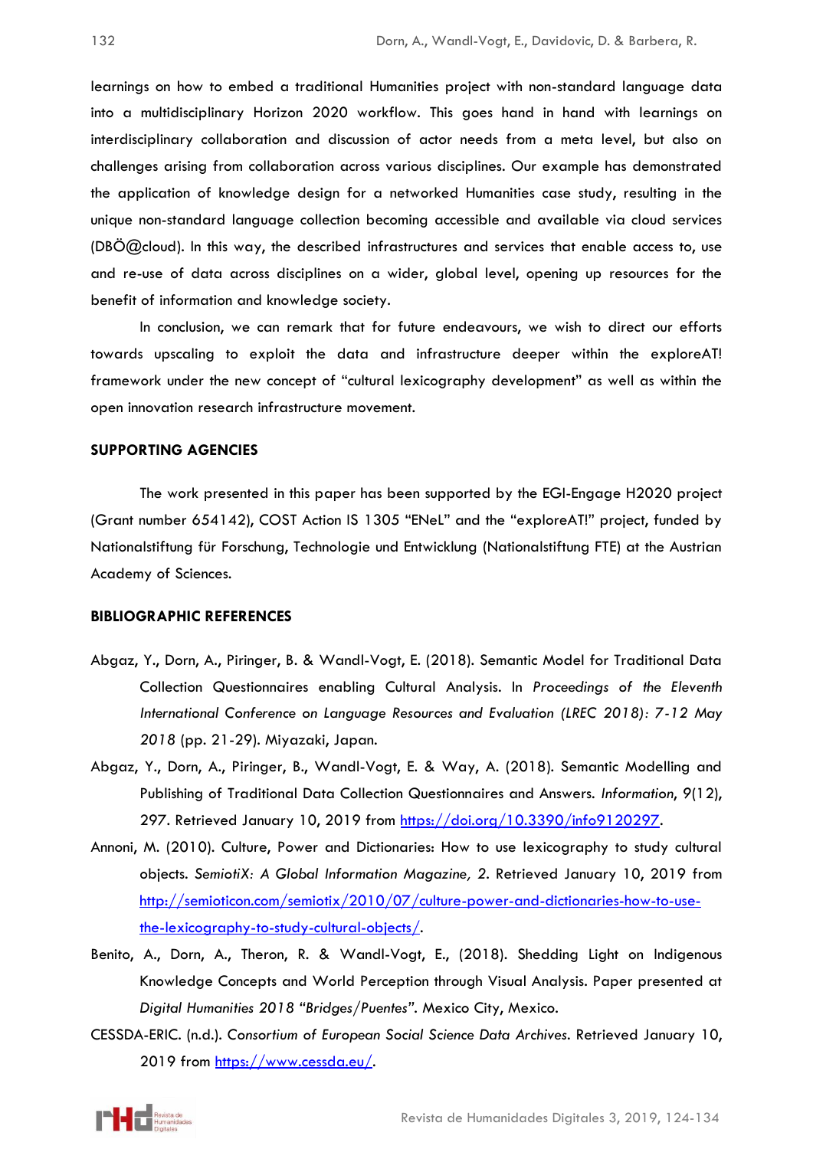learnings on how to embed a traditional Humanities project with non-standard language data into a multidisciplinary Horizon 2020 workflow. This goes hand in hand with learnings on interdisciplinary collaboration and discussion of actor needs from a meta level, but also on challenges arising from collaboration across various disciplines. Our example has demonstrated the application of knowledge design for a networked Humanities case study, resulting in the unique non-standard language collection becoming accessible and available via cloud services (DBÖ@cloud). In this way, the described infrastructures and services that enable access to, use and re-use of data across disciplines on a wider, global level, opening up resources for the benefit of information and knowledge society.

In conclusion, we can remark that for future endeavours, we wish to direct our efforts towards upscaling to exploit the data and infrastructure deeper within the exploreAT! framework under the new concept of "cultural lexicography development" as well as within the open innovation research infrastructure movement.

## **SUPPORTING AGENCIES**

The work presented in this paper has been supported by the EGI-Engage H2020 project (Grant number 654142), COST Action IS 1305 "ENeL" and the "exploreAT!" project, funded by Nationalstiftung für Forschung, Technologie und Entwicklung (Nationalstiftung FTE) at the Austrian Academy of Sciences.

### **BIBLIOGRAPHIC REFERENCES**

- Abgaz, Y., Dorn, A., Piringer, B. & Wandl-Vogt, E. (2018). Semantic Model for Traditional Data Collection Questionnaires enabling Cultural Analysis. In *Proceedings of the Eleventh International Conference on Language Resources and Evaluation (LREC 2018): 7-12 May 2018* (pp. 21-29). Miyazaki, Japan.
- Abgaz, Y., Dorn, A., Piringer, B., Wandl-Vogt, E. & Way, A. (2018). Semantic Modelling and Publishing of Traditional Data Collection Questionnaires and Answers. *Information*, *9*(12), 297. Retrieved January 10, 2019 from https://doi.org/10.3390/info9120297.
- Annoni, M. (2010). Culture, Power and Dictionaries: How to use lexicography to study cultural objects. *SemiotiX: A Global Information Magazine, 2*. Retrieved January 10, 2019 from [http://semioticon.com/semiotix/2010/07/culture-power-and-dictionaries-how-to-use](http://semioticon.com/semiotix/2010/07/culture-power-and-dictionaries-how-to-use-the-lexicography-to-study-cultural-objects/)[the-lexicography-to-study-cultural-objects/.](http://semioticon.com/semiotix/2010/07/culture-power-and-dictionaries-how-to-use-the-lexicography-to-study-cultural-objects/)
- Benito, A., Dorn, A., Theron, R. & Wandl-Vogt, E., (2018). Shedding Light on Indigenous Knowledge Concepts and World Perception through Visual Analysis. Paper presented at *Digital Humanities 2018 "Bridges/Puentes"*. Mexico City, Mexico.
- CESSDA-ERIC. (n.d.). *Consortium of European Social Science Data Archives*. Retrieved January 10, 2019 from [https://www.cessda.eu/.](https://www.cessda.eu/)

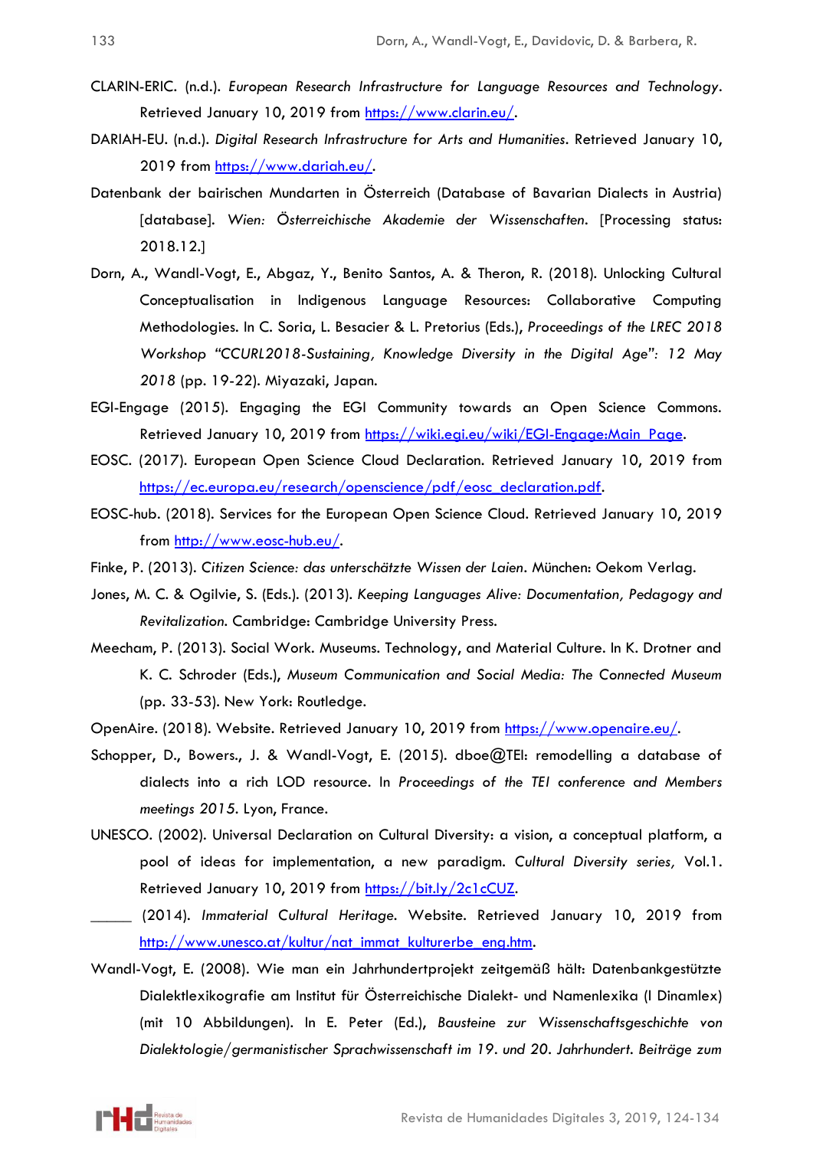- CLARIN-ERIC. (n.d.). *European Research Infrastructure for Language Resources and Technology*. Retrieved January 10, 2019 from [https://www.clarin.eu/.](https://www.clarin.eu/)
- DARIAH-EU. (n.d.). *Digital Research Infrastructure for Arts and Humanities*. Retrieved January 10, 2019 from [https://www.dariah.eu/.](https://www.dariah.eu/)
- Datenbank der bairischen Mundarten in Österreich (Database of Bavarian Dialects in Austria) [database]. *Wien: Österreichische Akademie der Wissenschaften*. [Processing status: 2018.12.]
- Dorn, A., Wandl-Vogt, E., Abgaz, Y., Benito Santos, A. & Theron, R. (2018). Unlocking Cultural Conceptualisation in Indigenous Language Resources: Collaborative Computing Methodologies. In C. Soria, L. Besacier & L. Pretorius (Eds.), *Proceedings of the LREC 2018 Workshop "CCURL2018-Sustaining, Knowledge Diversity in the Digital Age": 12 May 2018* (pp. 19-22). Miyazaki, Japan.
- EGI-Engage (2015). Engaging the EGI Community towards an Open Science Commons. Retrieved January 10, 2019 from [https://wiki.egi.eu/wiki/EGI-Engage:Main\\_Page.](https://wiki.egi.eu/wiki/EGI-Engage:Main_Page)
- EOSC. (2017). European Open Science Cloud Declaration. Retrieved January 10, 2019 from [https://ec.europa.eu/research/openscience/pdf/eosc\\_declaration.pdf.](https://ec.europa.eu/research/openscience/pdf/eosc_declaration.pdf)
- EOSC-hub. (2018). Services for the European Open Science Cloud. Retrieved January 10, 2019 from [http://www.eosc-hub.eu/.](http://www.eosc-hub.eu/)
- Finke, P. (2013). *Citizen Science: das unterschätzte Wissen der Laien*. München: Oekom Verlag.
- Jones, M. C. & Ogilvie, S. (Eds.). (2013). *Keeping Languages Alive: Documentation, Pedagogy and Revitalization*. Cambridge: Cambridge University Press.
- Meecham, P. (2013). Social Work. Museums. Technology, and Material Culture. In K. Drotner and K. C. Schroder (Eds.), *Museum Communication and Social Media: The Connected Museum*  (pp. 33-53). New York: Routledge.
- OpenAire. (2018). Website. Retrieved January 10, 2019 from [https://www.openaire.eu/.](https://www.openaire.eu/)
- Schopper, D., Bowers., J. & Wandl-Vogt, E. (2015). dboe@TEI: remodelling a database of dialects into a rich LOD resource. In *Proceedings of the TEI conference and Members meetings 2015*. Lyon, France.
- UNESCO. (2002). Universal Declaration on Cultural Diversity: a vision, a conceptual platform, a pool of ideas for implementation, a new paradigm. *Cultural Diversity series,* Vol.1. Retrieved January 10, 2019 from [https://bit.ly/2c1cCUZ.](https://bit.ly/2c1cCUZ)
- \_\_\_\_\_ (2014). *Immaterial Cultural Heritage*. Website. Retrieved January 10, 2019 from [http://www.unesco.at/kultur/nat\\_immat\\_kulturerbe\\_eng.htm.](http://www.unesco.at/kultur/nat_immat_kulturerbe_eng.htm)
- Wandl-Vogt, E. (2008). Wie man ein Jahrhundertprojekt zeitgemäß hält: Datenbankgestützte Dialektlexikografie am Institut für Österreichische Dialekt- und Namenlexika (I Dinamlex) (mit 10 Abbildungen). In E. Peter (Ed.), *Bausteine zur Wissenschaftsgeschichte von Dialektologie/germanistischer Sprachwissenschaft im 19. und 20. Jahrhundert. Beiträge zum*